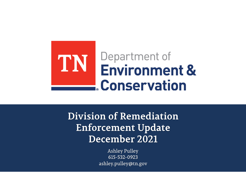

**Division of Remediation Enforcement Update December 2021** 

> **Ashley Pulley** 615-532-0923 ashley.pulley@tn.gov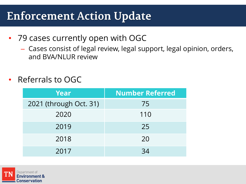### **Enforcement Action Update**

- 79 cases currently open with OGC
	- Cases consist of legal review, legal support, legal opinion, orders, and BVA/NLUR review
- Referrals to OGC

| <b>Year</b>            | <b>Number Referred</b> |  |
|------------------------|------------------------|--|
| 2021 (through Oct. 31) | 75                     |  |
| 2020                   | 110                    |  |
| 2019                   | 25                     |  |
| 2018                   | 20                     |  |
| 2017                   | -34                    |  |

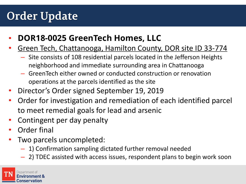# **Order Update**

- **DOR18-0025 GreenTech Homes, LLC**
- Green Tech, Chattanooga, Hamilton County, DOR site ID 33-774
	- Site consists of 108 residential parcels located in the Jefferson Heights neighborhood and immediate surrounding area in Chattanooga
	- GreenTech either owned or conducted construction or renovation operations at the parcels identified as the site
- Director's Order signed September 19, 2019
- Order for investigation and remediation of each identified parcel to meet remedial goals for lead and arsenic
- Contingent per day penalty
- **Order final**
- Two parcels uncompleted:
	- 1) Confirmation sampling dictated further removal needed
	- 2) TDEC assisted with access issues, respondent plans to begin work soon

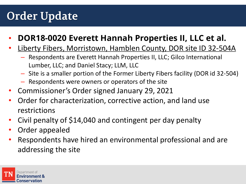# **Order Update**

### • **DOR18-0020 Everett Hannah Properties II, LLC et al.**

#### • Liberty Fibers, Morristown, Hamblen County, DOR site ID 32-504A

- Respondents are Everett Hannah Properties II, LLC; Gilco International Lumber, LLC; and Daniel Stacy; LLM, LLC
- Site is a smaller portion of the Former Liberty Fibers facility (DOR id 32-504)
- Respondents were owners or operators of the site
- Commissioner's Order signed January 29, 2021
- Order for characterization, corrective action, and land use restrictions
- Civil penalty of \$14,040 and contingent per day penalty
- Order appealed
- Respondents have hired an environmental professional and are addressing the site

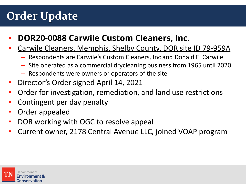# **Order Update**

- **DOR20-0088 Carwile Custom Cleaners, Inc.**
- Carwile Cleaners, Memphis, Shelby County, DOR site ID 79-959A
	- Respondents are Carwile's Custom Cleaners, Inc and Donald E. Carwile
	- Site operated as a commercial drycleaning business from 1965 until 2020
	- Respondents were owners or operators of the site
- Director's Order signed April 14, 2021
- Order for investigation, remediation, and land use restrictions
- Contingent per day penalty
- Order appealed
- DOR working with OGC to resolve appeal
- Current owner, 2178 Central Avenue LLC, joined VOAP program

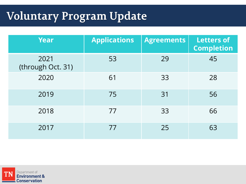# **Voluntary Program Update**

| Year                      | <b>Applications</b> | <b>Agreements</b> | <b>Letters of</b><br><b>Completion</b> |
|---------------------------|---------------------|-------------------|----------------------------------------|
| 2021<br>(through Oct. 31) | 53                  | 29                | 45                                     |
| 2020                      | 61                  | 33                | 28                                     |
| 2019                      | 75                  | 31                | 56                                     |
| 2018                      | 77                  | 33                | 66                                     |
| 2017                      | 77                  | 25                | 63                                     |